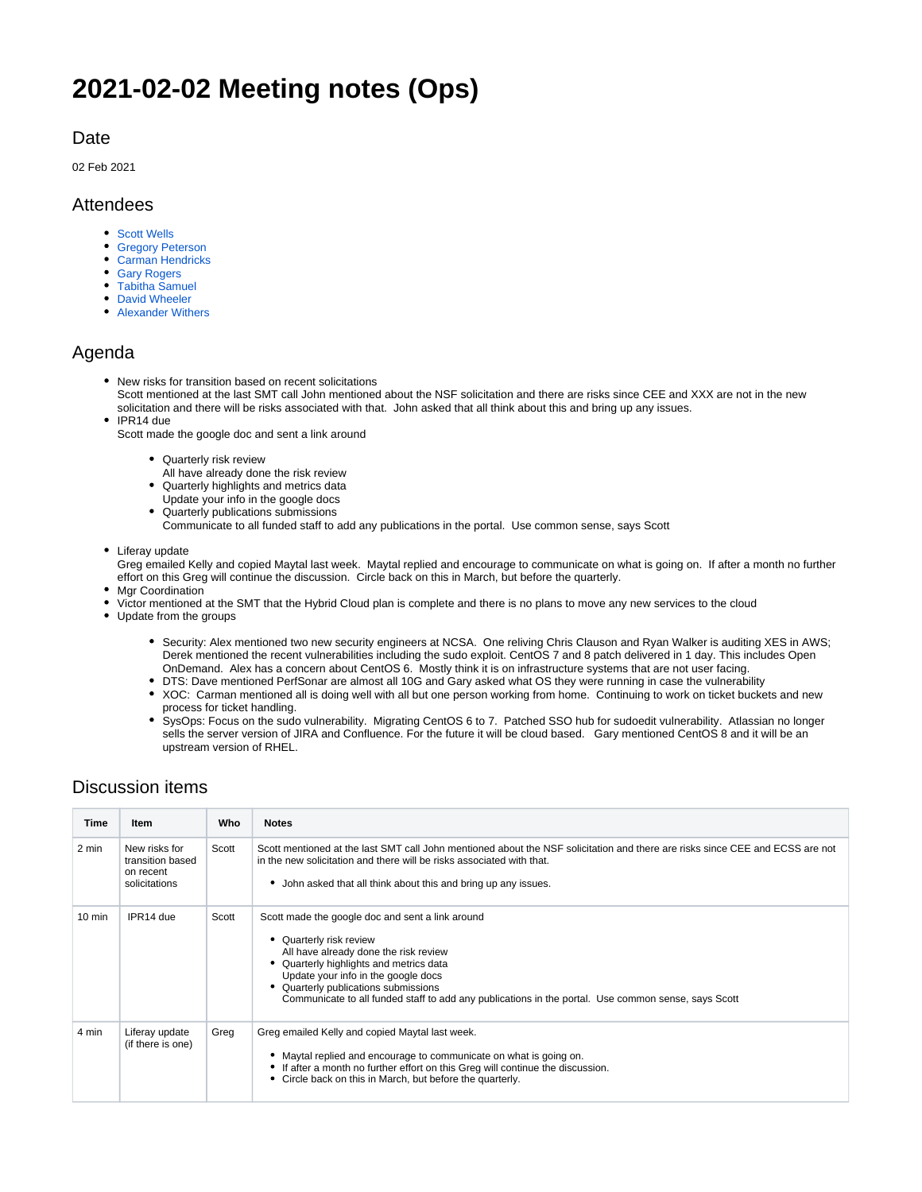# **2021-02-02 Meeting notes (Ops)**

#### **Date**

02 Feb 2021

#### Attendees

- [Scott Wells](https://confluence.xsede.org/display/~swells)
- [Gregory Peterson](https://confluence.xsede.org/display/~gdp)
- [Carman Hendricks](https://confluence.xsede.org/display/~carmanh)
- [Gary Rogers](https://confluence.xsede.org/display/~grogers)
- [Tabitha Samuel](https://confluence.xsede.org/display/~tsamuel)
- [David Wheeler](https://confluence.xsede.org/display/~dwheeler) [Alexander Withers](https://confluence.xsede.org/display/~awithers)

#### Agenda

- New risks for transition based on recent solicitations Scott mentioned at the last SMT call John mentioned about the NSF solicitation and there are risks since CEE and XXX are not in the new solicitation and there will be risks associated with that. John asked that all think about this and bring up any issues.
- IPR14 due

Scott made the google doc and sent a link around

- Quarterly risk review
- All have already done the risk review
- Quarterly highlights and metrics data
- Update your info in the google docs
- Quarterly publications submissions

Communicate to all funded staff to add any publications in the portal. Use common sense, says Scott

Liferay update

Greg emailed Kelly and copied Maytal last week. Maytal replied and encourage to communicate on what is going on. If after a month no further effort on this Greg will continue the discussion. Circle back on this in March, but before the quarterly.

- Mgr Coordination
- Victor mentioned at the SMT that the Hybrid Cloud plan is complete and there is no plans to move any new services to the cloud
- Update from the groups
	- Security: Alex mentioned two new security engineers at NCSA. One reliving Chris Clauson and Ryan Walker is auditing XES in AWS; Derek mentioned the recent vulnerabilities including the sudo exploit. CentOS 7 and 8 patch delivered in 1 day. This includes Open OnDemand. Alex has a concern about CentOS 6. Mostly think it is on infrastructure systems that are not user facing.
	- DTS: Dave mentioned PerfSonar are almost all 10G and Gary asked what OS they were running in case the vulnerability
	- XOC: Carman mentioned all is doing well with all but one person working from home. Continuing to work on ticket buckets and new process for ticket handling.
	- SysOps: Focus on the sudo vulnerability. Migrating CentOS 6 to 7. Patched SSO hub for sudoedit vulnerability. Atlassian no longer sells the server version of JIRA and Confluence. For the future it will be cloud based. Gary mentioned CentOS 8 and it will be an upstream version of RHEL.

### Discussion items

| Time             | <b>Item</b>                                                     | Who   | <b>Notes</b>                                                                                                                                                                                                                                                                                                                                    |
|------------------|-----------------------------------------------------------------|-------|-------------------------------------------------------------------------------------------------------------------------------------------------------------------------------------------------------------------------------------------------------------------------------------------------------------------------------------------------|
| 2 min            | New risks for<br>transition based<br>on recent<br>solicitations | Scott | Scott mentioned at the last SMT call John mentioned about the NSF solicitation and there are risks since CEE and ECSS are not<br>in the new solicitation and there will be risks associated with that.<br>John asked that all think about this and bring up any issues.                                                                         |
| $10 \text{ min}$ | IPR14 due                                                       | Scott | Scott made the google doc and sent a link around<br>Quarterly risk review<br>All have already done the risk review<br>Quarterly highlights and metrics data<br>Update your info in the google docs<br>Quarterly publications submissions<br>Communicate to all funded staff to add any publications in the portal. Use common sense, says Scott |
| 4 min            | Liferay update<br>(if there is one)                             | Greg  | Greg emailed Kelly and copied Maytal last week.<br>Maytal replied and encourage to communicate on what is going on.<br>If after a month no further effort on this Greg will continue the discussion.<br>Circle back on this in March, but before the quarterly.                                                                                 |